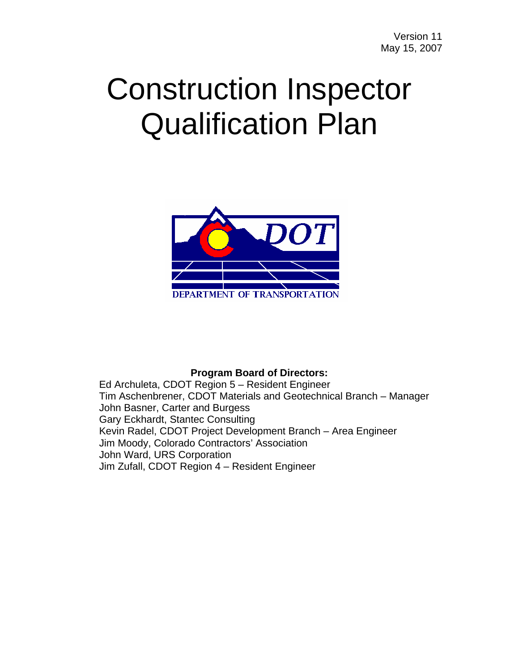# Construction Inspector Qualification Plan



#### **Program Board of Directors:**

Ed Archuleta, CDOT Region 5 – Resident Engineer Tim Aschenbrener, CDOT Materials and Geotechnical Branch – Manager John Basner, Carter and Burgess Gary Eckhardt, Stantec Consulting Kevin Radel, CDOT Project Development Branch – Area Engineer Jim Moody, Colorado Contractors' Association John Ward, URS Corporation Jim Zufall, CDOT Region 4 – Resident Engineer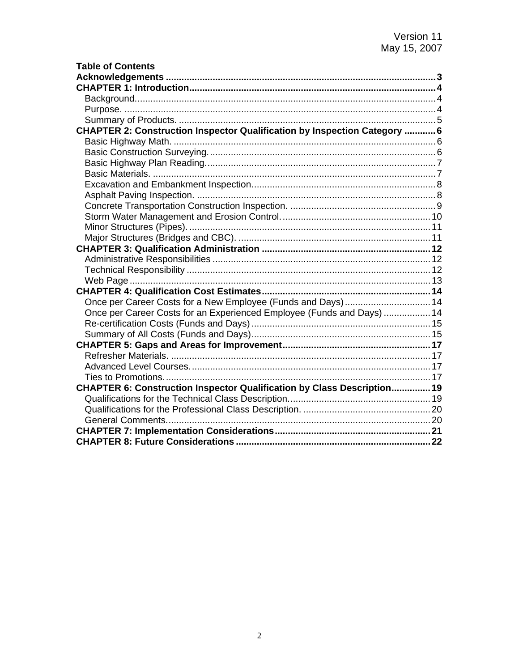| <b>Table of Contents</b>                                                  |  |
|---------------------------------------------------------------------------|--|
|                                                                           |  |
|                                                                           |  |
|                                                                           |  |
|                                                                           |  |
|                                                                           |  |
| CHAPTER 2: Construction Inspector Qualification by Inspection Category  6 |  |
|                                                                           |  |
|                                                                           |  |
|                                                                           |  |
|                                                                           |  |
|                                                                           |  |
|                                                                           |  |
|                                                                           |  |
|                                                                           |  |
|                                                                           |  |
|                                                                           |  |
|                                                                           |  |
|                                                                           |  |
|                                                                           |  |
|                                                                           |  |
|                                                                           |  |
| Once per Career Costs for a New Employee (Funds and Days) 14              |  |
| Once per Career Costs for an Experienced Employee (Funds and Days)  14    |  |
|                                                                           |  |
|                                                                           |  |
|                                                                           |  |
|                                                                           |  |
|                                                                           |  |
|                                                                           |  |
| CHAPTER 6: Construction Inspector Qualification by Class Description 19   |  |
|                                                                           |  |
|                                                                           |  |
|                                                                           |  |
|                                                                           |  |
|                                                                           |  |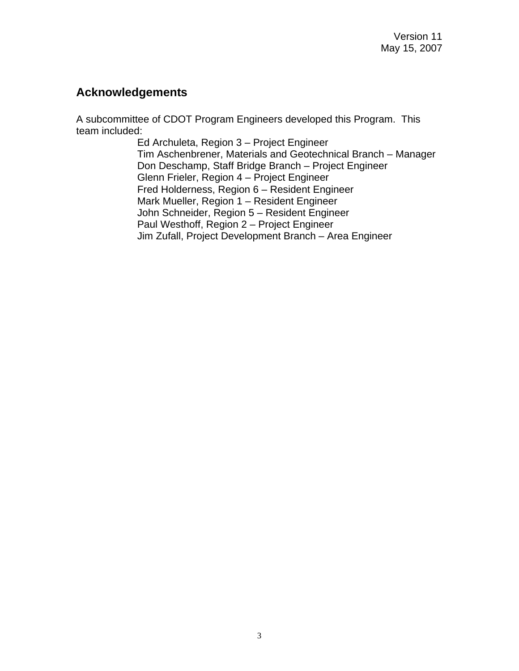## <span id="page-2-0"></span>**Acknowledgements**

A subcommittee of CDOT Program Engineers developed this Program. This team included:

> Ed Archuleta, Region 3 – Project Engineer Tim Aschenbrener, Materials and Geotechnical Branch – Manager Don Deschamp, Staff Bridge Branch – Project Engineer Glenn Frieler, Region 4 – Project Engineer Fred Holderness, Region 6 – Resident Engineer Mark Mueller, Region 1 – Resident Engineer John Schneider, Region 5 – Resident Engineer Paul Westhoff, Region 2 – Project Engineer Jim Zufall, Project Development Branch – Area Engineer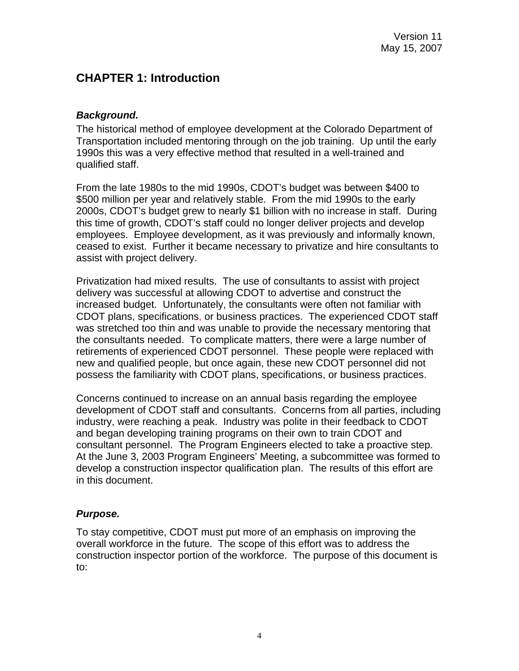# <span id="page-3-0"></span>**CHAPTER 1: Introduction**

#### *Background.*

The historical method of employee development at the Colorado Department of Transportation included mentoring through on the job training. Up until the early 1990s this was a very effective method that resulted in a well-trained and qualified staff.

From the late 1980s to the mid 1990s, CDOT's budget was between \$400 to \$500 million per year and relatively stable. From the mid 1990s to the early 2000s, CDOT's budget grew to nearly \$1 billion with no increase in staff. During this time of growth, CDOT's staff could no longer deliver projects and develop employees. Employee development, as it was previously and informally known, ceased to exist. Further it became necessary to privatize and hire consultants to assist with project delivery.

Privatization had mixed results. The use of consultants to assist with project delivery was successful at allowing CDOT to advertise and construct the increased budget. Unfortunately, the consultants were often not familiar with CDOT plans, specifications, or business practices. The experienced CDOT staff was stretched too thin and was unable to provide the necessary mentoring that the consultants needed. To complicate matters, there were a large number of retirements of experienced CDOT personnel. These people were replaced with new and qualified people, but once again, these new CDOT personnel did not possess the familiarity with CDOT plans, specifications, or business practices.

Concerns continued to increase on an annual basis regarding the employee development of CDOT staff and consultants. Concerns from all parties, including industry, were reaching a peak. Industry was polite in their feedback to CDOT and began developing training programs on their own to train CDOT and consultant personnel. The Program Engineers elected to take a proactive step. At the June 3, 2003 Program Engineers' Meeting, a subcommittee was formed to develop a construction inspector qualification plan. The results of this effort are in this document.

#### *Purpose.*

To stay competitive, CDOT must put more of an emphasis on improving the overall workforce in the future. The scope of this effort was to address the construction inspector portion of the workforce. The purpose of this document is to: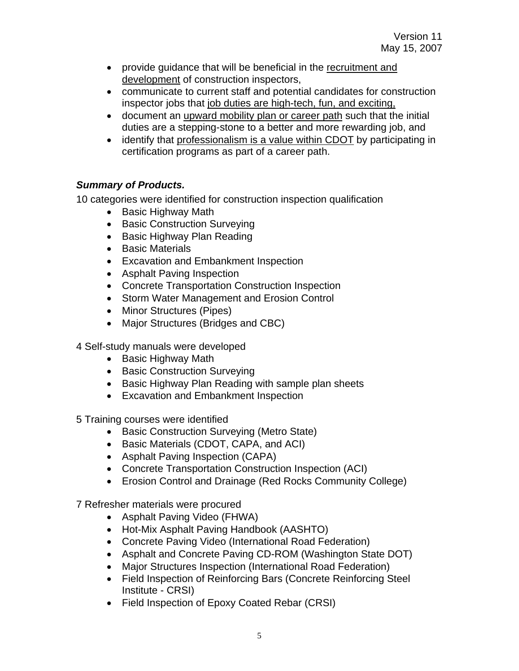- <span id="page-4-0"></span>• provide guidance that will be beneficial in the recruitment and development of construction inspectors,
- communicate to current staff and potential candidates for construction inspector jobs that job duties are high-tech, fun, and exciting,
- document an upward mobility plan or career path such that the initial duties are a stepping-stone to a better and more rewarding job, and
- identify that professionalism is a value within CDOT by participating in certification programs as part of a career path.

## *Summary of Products.*

10 categories were identified for construction inspection qualification

- Basic Highway Math
- Basic Construction Surveying
- Basic Highway Plan Reading
- Basic Materials
- Excavation and Embankment Inspection
- Asphalt Paving Inspection
- Concrete Transportation Construction Inspection
- Storm Water Management and Erosion Control
- Minor Structures (Pipes)
- Major Structures (Bridges and CBC)

4 Self-study manuals were developed

- Basic Highway Math
- Basic Construction Surveying
- Basic Highway Plan Reading with sample plan sheets
- Excavation and Embankment Inspection

5 Training courses were identified

- Basic Construction Surveying (Metro State)
- Basic Materials (CDOT, CAPA, and ACI)
- Asphalt Paving Inspection (CAPA)
- Concrete Transportation Construction Inspection (ACI)
- Erosion Control and Drainage (Red Rocks Community College)

7 Refresher materials were procured

- Asphalt Paving Video (FHWA)
- Hot-Mix Asphalt Paving Handbook (AASHTO)
- Concrete Paving Video (International Road Federation)
- Asphalt and Concrete Paving CD-ROM (Washington State DOT)
- Major Structures Inspection (International Road Federation)
- Field Inspection of Reinforcing Bars (Concrete Reinforcing Steel Institute - CRSI)
- Field Inspection of Epoxy Coated Rebar (CRSI)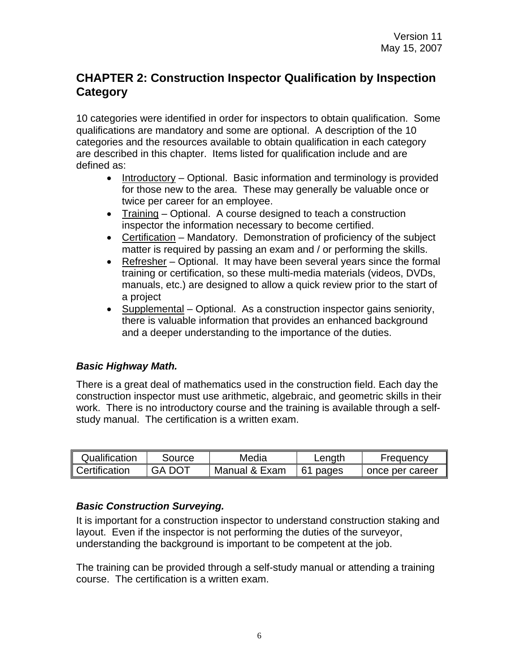# <span id="page-5-0"></span>**CHAPTER 2: Construction Inspector Qualification by Inspection Category**

10 categories were identified in order for inspectors to obtain qualification. Some qualifications are mandatory and some are optional. A description of the 10 categories and the resources available to obtain qualification in each category are described in this chapter. Items listed for qualification include and are defined as:

- Introductory Optional. Basic information and terminology is provided for those new to the area. These may generally be valuable once or twice per career for an employee.
- Training Optional. A course designed to teach a construction inspector the information necessary to become certified.
- Certification Mandatory. Demonstration of proficiency of the subject matter is required by passing an exam and / or performing the skills.
- Refresher Optional. It may have been several years since the formal training or certification, so these multi-media materials (videos, DVDs, manuals, etc.) are designed to allow a quick review prior to the start of a project
- Supplemental Optional. As a construction inspector gains seniority, there is valuable information that provides an enhanced background and a deeper understanding to the importance of the duties.

#### *Basic Highway Math.*

There is a great deal of mathematics used in the construction field. Each day the construction inspector must use arithmetic, algebraic, and geometric skills in their work. There is no introductory course and the training is available through a selfstudy manual. The certification is a written exam.

| Qualification | Source | Media         | $L$ ength | <b>Frequency</b> |
|---------------|--------|---------------|-----------|------------------|
| Certification | GA DOT | Manual & Exam | 61 pages  | once per career  |

#### *Basic Construction Surveying.*

It is important for a construction inspector to understand construction staking and layout. Even if the inspector is not performing the duties of the surveyor, understanding the background is important to be competent at the job.

The training can be provided through a self-study manual or attending a training course. The certification is a written exam.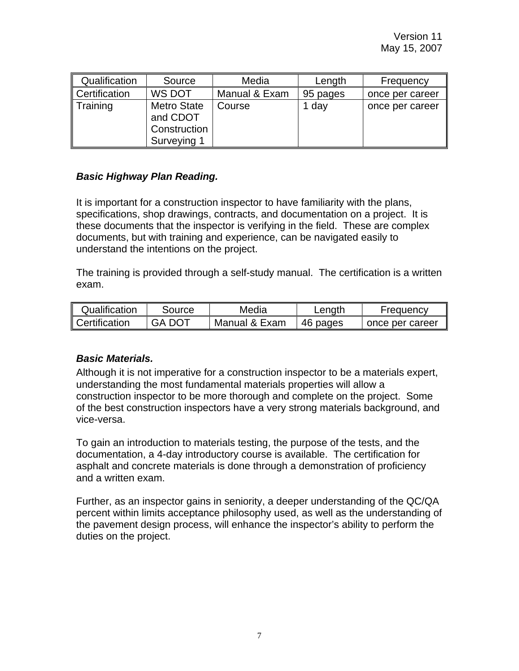<span id="page-6-0"></span>

| Qualification | Source                                                        | Media         | Length   | Frequency       |
|---------------|---------------------------------------------------------------|---------------|----------|-----------------|
| Certification | WS DOT                                                        | Manual & Exam | 95 pages | once per career |
| Training      | <b>Metro State</b><br>and CDOT<br>Construction<br>Surveying 1 | Course        | 1 day    | once per career |

## *Basic Highway Plan Reading.*

It is important for a construction inspector to have familiarity with the plans, specifications, shop drawings, contracts, and documentation on a project. It is these documents that the inspector is verifying in the field. These are complex documents, but with training and experience, can be navigated easily to understand the intentions on the project.

The training is provided through a self-study manual. The certification is a written exam.

| Qualification | Source | Media         | ∟ength   | <b>Frequency</b> |
|---------------|--------|---------------|----------|------------------|
| Certification | GA DOT | Manual & Exam | 46 pages | once per career  |

#### *Basic Materials.*

Although it is not imperative for a construction inspector to be a materials expert, understanding the most fundamental materials properties will allow a construction inspector to be more thorough and complete on the project. Some of the best construction inspectors have a very strong materials background, and vice-versa.

To gain an introduction to materials testing, the purpose of the tests, and the documentation, a 4-day introductory course is available. The certification for asphalt and concrete materials is done through a demonstration of proficiency and a written exam.

Further, as an inspector gains in seniority, a deeper understanding of the QC/QA percent within limits acceptance philosophy used, as well as the understanding of the pavement design process, will enhance the inspector's ability to perform the duties on the project.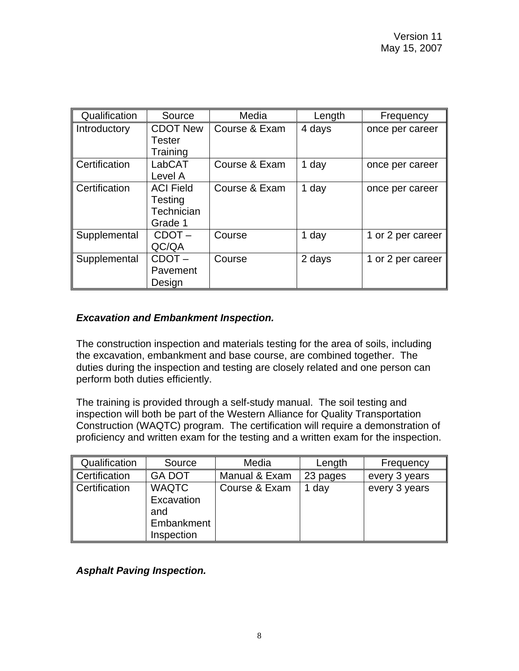<span id="page-7-0"></span>

| Qualification | Source           | Media         | Length | Frequency         |
|---------------|------------------|---------------|--------|-------------------|
| Introductory  | <b>CDOT New</b>  | Course & Exam | 4 days | once per career   |
|               | Tester           |               |        |                   |
|               | Training         |               |        |                   |
| Certification | LabCAT           | Course & Exam | 1 day  | once per career   |
|               | Level A          |               |        |                   |
| Certification | <b>ACI Field</b> | Course & Exam | 1 day  | once per career   |
|               | Testing          |               |        |                   |
|               | Technician       |               |        |                   |
|               | Grade 1          |               |        |                   |
| Supplemental  | $CDOT -$         | Course        | 1 day  | 1 or 2 per career |
|               | QC/QA            |               |        |                   |
| Supplemental  | $CDOT -$         | Course        | 2 days | 1 or 2 per career |
|               | Pavement         |               |        |                   |
|               | Design           |               |        |                   |

#### *Excavation and Embankment Inspection.*

The construction inspection and materials testing for the area of soils, including the excavation, embankment and base course, are combined together. The duties during the inspection and testing are closely related and one person can perform both duties efficiently.

The training is provided through a self-study manual. The soil testing and inspection will both be part of the Western Alliance for Quality Transportation Construction (WAQTC) program. The certification will require a demonstration of proficiency and written exam for the testing and a written exam for the inspection.

| Qualification | Source                                                        | Media         | Length   | Frequency     |
|---------------|---------------------------------------------------------------|---------------|----------|---------------|
| Certification | <b>GA DOT</b>                                                 | Manual & Exam | 23 pages | every 3 years |
| Certification | <b>WAQTC</b><br>Excavation<br>and<br>Embankment<br>Inspection | Course & Exam | 1 day    | every 3 years |

*Asphalt Paving Inspection.*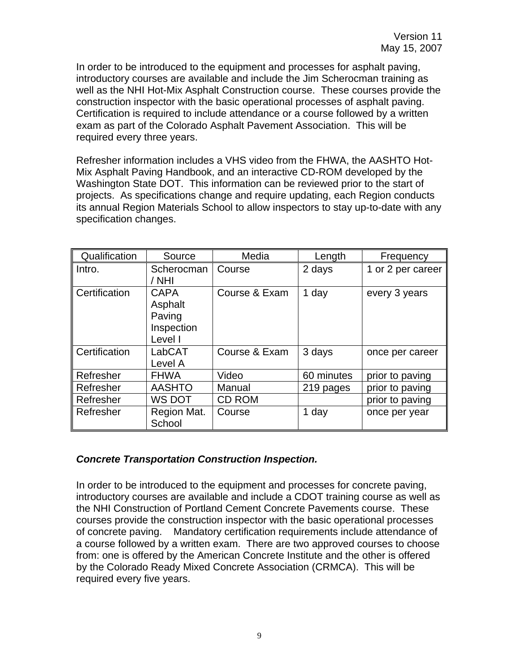<span id="page-8-0"></span>In order to be introduced to the equipment and processes for asphalt paving, introductory courses are available and include the Jim Scherocman training as well as the NHI Hot-Mix Asphalt Construction course. These courses provide the construction inspector with the basic operational processes of asphalt paving. Certification is required to include attendance or a course followed by a written exam as part of the Colorado Asphalt Pavement Association. This will be required every three years.

Refresher information includes a VHS video from the FHWA, the AASHTO Hot-Mix Asphalt Paving Handbook, and an interactive CD-ROM developed by the Washington State DOT. This information can be reviewed prior to the start of projects. As specifications change and require updating, each Region conducts its annual Region Materials School to allow inspectors to stay up-to-date with any specification changes.

| Qualification | Source                                                    | Media         | Length     | Frequency         |
|---------------|-----------------------------------------------------------|---------------|------------|-------------------|
| Intro.        | Scherocman<br>/ NHI                                       | Course        | 2 days     | 1 or 2 per career |
| Certification | <b>CAPA</b><br>Asphalt<br>Paving<br>Inspection<br>Level I | Course & Exam | 1 day      | every 3 years     |
| Certification | LabCAT<br>Level A                                         | Course & Exam | 3 days     | once per career   |
| Refresher     | <b>FHWA</b>                                               | Video         | 60 minutes | prior to paving   |
| Refresher     | <b>AASHTO</b>                                             | Manual        | 219 pages  | prior to paving   |
| Refresher     | WS DOT                                                    | <b>CD ROM</b> |            | prior to paving   |
| Refresher     | Region Mat.<br>School                                     | Course        | 1 day      | once per year     |

#### *Concrete Transportation Construction Inspection.*

In order to be introduced to the equipment and processes for concrete paving, introductory courses are available and include a CDOT training course as well as the NHI Construction of Portland Cement Concrete Pavements course. These courses provide the construction inspector with the basic operational processes of concrete paving. Mandatory certification requirements include attendance of a course followed by a written exam. There are two approved courses to choose from: one is offered by the American Concrete Institute and the other is offered by the Colorado Ready Mixed Concrete Association (CRMCA). This will be required every five years.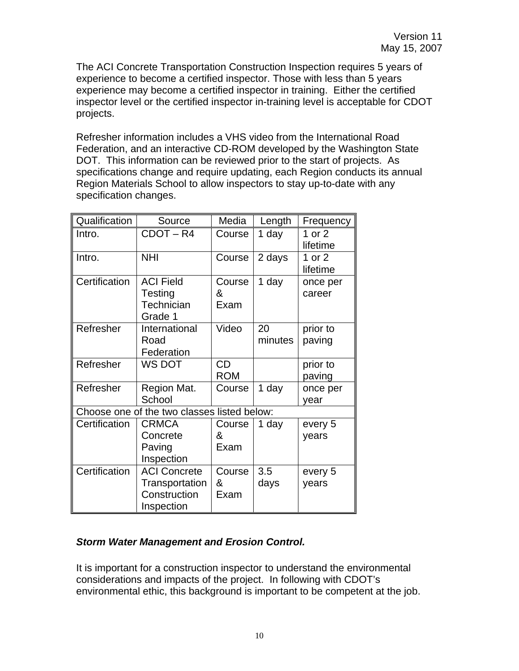<span id="page-9-0"></span>The ACI Concrete Transportation Construction Inspection requires 5 years of experience to become a certified inspector. Those with less than 5 years experience may become a certified inspector in training. Either the certified inspector level or the certified inspector in-training level is acceptable for CDOT projects.

Refresher information includes a VHS video from the International Road Federation, and an interactive CD-ROM developed by the Washington State DOT. This information can be reviewed prior to the start of projects. As specifications change and require updating, each Region conducts its annual Region Materials School to allow inspectors to stay up-to-date with any specification changes.

| Qualification | Source                                                              | Media               | Length        | Frequency            |
|---------------|---------------------------------------------------------------------|---------------------|---------------|----------------------|
| Intro.        | CDOT-R4                                                             | Course              | 1 day         | 1 or $2$<br>lifetime |
| Intro.        | <b>NHI</b>                                                          | Course              | 2 days        | 1 or $2$<br>lifetime |
| Certification | <b>ACI Field</b><br>Testing<br>Technician<br>Grade 1                | Course<br>&<br>Exam | 1 day         | once per<br>career   |
| Refresher     | International<br>Road<br>Federation                                 | Video               | 20<br>minutes | prior to<br>paving   |
| Refresher     | WS DOT                                                              | CD<br><b>ROM</b>    |               | prior to<br>paving   |
| Refresher     | Region Mat.<br>School                                               | Course              | 1 day         | once per<br>year     |
|               | Choose one of the two classes listed below:                         |                     |               |                      |
| Certification | <b>CRMCA</b><br>Concrete<br>Paving<br>Inspection                    | Course<br>&<br>Exam | 1 day         | every 5<br>years     |
| Certification | <b>ACI Concrete</b><br>Transportation<br>Construction<br>Inspection | Course<br>&<br>Exam | 3.5<br>days   | every 5<br>years     |

## *Storm Water Management and Erosion Control.*

It is important for a construction inspector to understand the environmental considerations and impacts of the project. In following with CDOT's environmental ethic, this background is important to be competent at the job.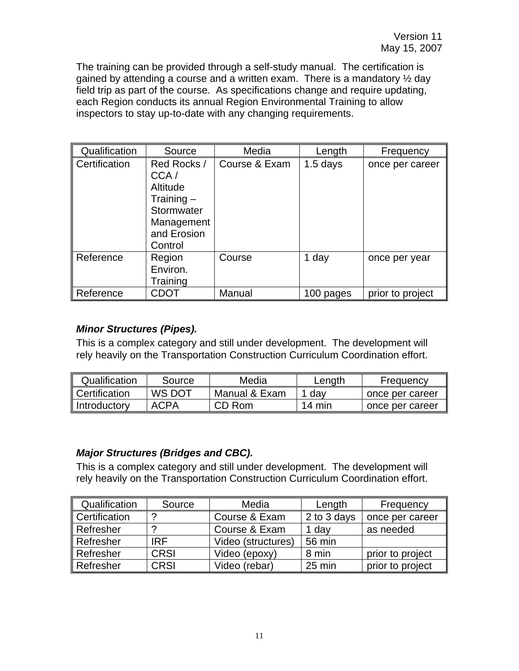<span id="page-10-0"></span>The training can be provided through a self-study manual. The certification is gained by attending a course and a written exam. There is a mandatory  $\frac{1}{2}$  day field trip as part of the course. As specifications change and require updating, each Region conducts its annual Region Environmental Training to allow inspectors to stay up-to-date with any changing requirements.

| Qualification | Source                                                                                                | Media         | Length     | Frequency        |
|---------------|-------------------------------------------------------------------------------------------------------|---------------|------------|------------------|
| Certification | Red Rocks /<br>CCA/<br>Altitude<br>Training $-$<br>Stormwater<br>Management<br>and Erosion<br>Control | Course & Exam | $1.5$ days | once per career  |
| Reference     | Region<br>Environ.<br>Training                                                                        | Course        | 1 day      | once per year    |
| Reference     | CDOT                                                                                                  | Manual        | 100 pages  | prior to project |

#### *Minor Structures (Pipes).*

This is a complex category and still under development. The development will rely heavily on the Transportation Construction Curriculum Coordination effort.

| Qualification | Source | Media         | Length | <b>Frequency</b> |
|---------------|--------|---------------|--------|------------------|
| Certification | WS DOT | Manual & Exam | dav    | once per career  |
| Introductory  | ACPA   | CD Rom        | 14 min | once per career  |

## *Major Structures (Bridges and CBC).*

This is a complex category and still under development. The development will rely heavily on the Transportation Construction Curriculum Coordination effort.

| Qualification | Source      | Media              | Length      | Frequency        |
|---------------|-------------|--------------------|-------------|------------------|
| Certification | ာ           | Course & Exam      | 2 to 3 days | once per career  |
| Refresher     | റ           | Course & Exam      | 1 day       | as needed        |
| Refresher     | IRF         | Video (structures) | 56 min      |                  |
| Refresher     | <b>CRSI</b> | Video (epoxy)      | 8 min       | prior to project |
| Refresher     | <b>CRSI</b> | Video (rebar)      | 25 min      | prior to project |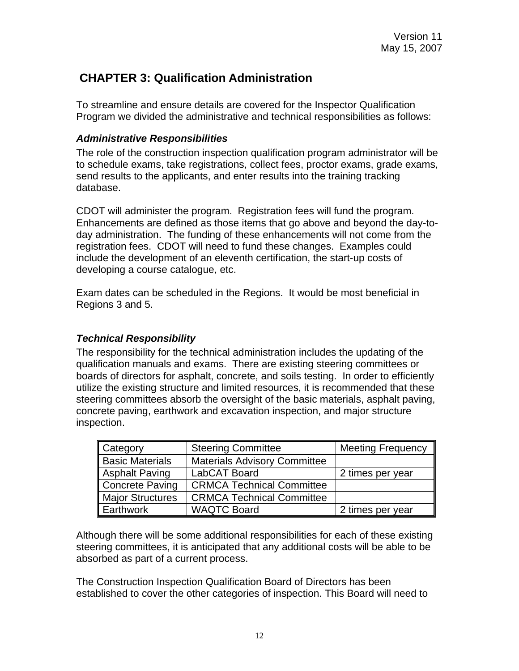# <span id="page-11-0"></span> **CHAPTER 3: Qualification Administration**

To streamline and ensure details are covered for the Inspector Qualification Program we divided the administrative and technical responsibilities as follows:

#### *Administrative Responsibilities*

The role of the construction inspection qualification program administrator will be to schedule exams, take registrations, collect fees, proctor exams, grade exams, send results to the applicants, and enter results into the training tracking database.

CDOT will administer the program. Registration fees will fund the program. Enhancements are defined as those items that go above and beyond the day-today administration. The funding of these enhancements will not come from the registration fees. CDOT will need to fund these changes. Examples could include the development of an eleventh certification, the start-up costs of developing a course catalogue, etc.

Exam dates can be scheduled in the Regions. It would be most beneficial in Regions 3 and 5.

#### *Technical Responsibility*

The responsibility for the technical administration includes the updating of the qualification manuals and exams. There are existing steering committees or boards of directors for asphalt, concrete, and soils testing. In order to efficiently utilize the existing structure and limited resources, it is recommended that these steering committees absorb the oversight of the basic materials, asphalt paving, concrete paving, earthwork and excavation inspection, and major structure inspection.

| Category               | <b>Steering Committee</b>           | <b>Meeting Frequency</b> |
|------------------------|-------------------------------------|--------------------------|
| <b>Basic Materials</b> | <b>Materials Advisory Committee</b> |                          |
| Asphalt Paving         | LabCAT Board                        | 2 times per year         |
| Concrete Paving        | <b>CRMCA Technical Committee</b>    |                          |
| Major Structures       | <b>CRMCA Technical Committee</b>    |                          |
| Earthwork              | <b>WAQTC Board</b>                  | 2 times per year         |

Although there will be some additional responsibilities for each of these existing steering committees, it is anticipated that any additional costs will be able to be absorbed as part of a current process.

The Construction Inspection Qualification Board of Directors has been established to cover the other categories of inspection. This Board will need to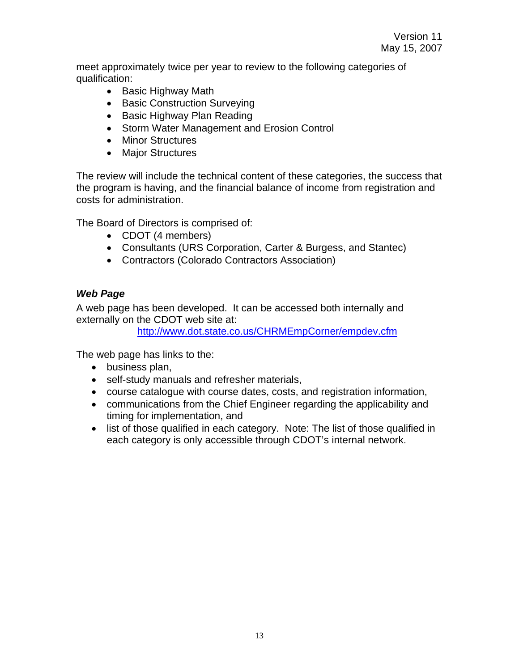<span id="page-12-0"></span>meet approximately twice per year to review to the following categories of qualification:

- Basic Highway Math
- Basic Construction Surveying
- Basic Highway Plan Reading
- Storm Water Management and Erosion Control
- Minor Structures
- Major Structures

The review will include the technical content of these categories, the success that the program is having, and the financial balance of income from registration and costs for administration.

The Board of Directors is comprised of:

- CDOT (4 members)
- Consultants (URS Corporation, Carter & Burgess, and Stantec)
- Contractors (Colorado Contractors Association)

#### *Web Page*

A web page has been developed. It can be accessed both internally and externally on the CDOT web site at:

<http://www.dot.state.co.us/CHRMEmpCorner/empdev.cfm>

The web page has links to the:

- business plan,
- self-study manuals and refresher materials,
- course catalogue with course dates, costs, and registration information,
- communications from the Chief Engineer regarding the applicability and timing for implementation, and
- list of those qualified in each category. Note: The list of those qualified in each category is only accessible through CDOT's internal network.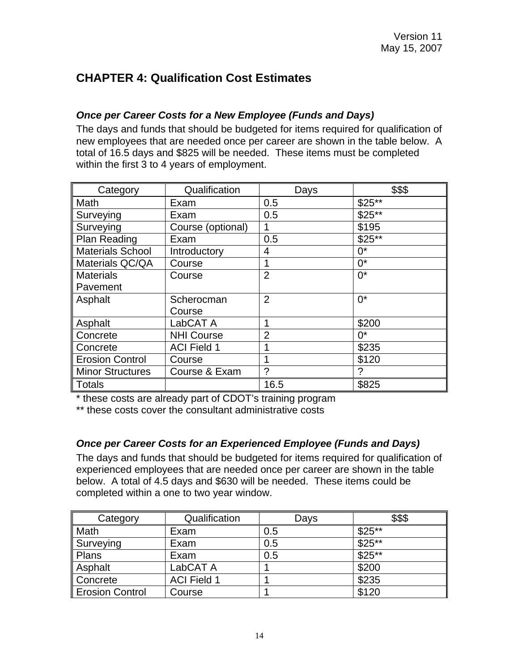# <span id="page-13-0"></span>**CHAPTER 4: Qualification Cost Estimates**

## *Once per Career Costs for a New Employee (Funds and Days)*

The days and funds that should be budgeted for items required for qualification of new employees that are needed once per career are shown in the table below. A total of 16.5 days and \$825 will be needed. These items must be completed within the first 3 to 4 years of employment.

| Category                | Qualification      | Days           | \$\$\$  |
|-------------------------|--------------------|----------------|---------|
| Math                    | Exam               | 0.5            | $$25**$ |
| Surveying               | Exam               | 0.5            | $$25**$ |
| Surveying               | Course (optional)  | 1              | \$195   |
| <b>Plan Reading</b>     | Exam               | 0.5            | $$25**$ |
| <b>Materials School</b> | Introductory       | $\overline{4}$ | $0^*$   |
| Materials QC/QA         | Course             |                | $0^*$   |
| <b>Materials</b>        | Course             | $\overline{2}$ | $0^*$   |
| Pavement                |                    |                |         |
| Asphalt                 | Scherocman         | $\overline{2}$ | $0^*$   |
|                         | Course             |                |         |
| Asphalt                 | LabCAT A           | 1              | \$200   |
| Concrete                | <b>NHI Course</b>  | $\overline{2}$ | $0^*$   |
| Concrete                | <b>ACI Field 1</b> | 4              | \$235   |
| <b>Erosion Control</b>  | Course             | 1              | \$120   |
| <b>Minor Structures</b> | Course & Exam      | ?              | ?       |
| <b>Totals</b>           |                    | 16.5           | \$825   |

\* these costs are already part of CDOT's training program

\*\* these costs cover the consultant administrative costs

## *Once per Career Costs for an Experienced Employee (Funds and Days)*

The days and funds that should be budgeted for items required for qualification of experienced employees that are needed once per career are shown in the table below. A total of 4.5 days and \$630 will be needed. These items could be completed within a one to two year window.

| Category               | Qualification      | Days | \$\$\$  |
|------------------------|--------------------|------|---------|
| Math                   | Exam               | 0.5  | $$25**$ |
| Surveying              | Exam               | 0.5  | $$25**$ |
| Plans                  | Exam               | 0.5  | $$25**$ |
| Asphalt                | LabCAT A           |      | \$200   |
| Concrete               | <b>ACI Field 1</b> |      | \$235   |
| <b>Erosion Control</b> | Course             |      | \$120   |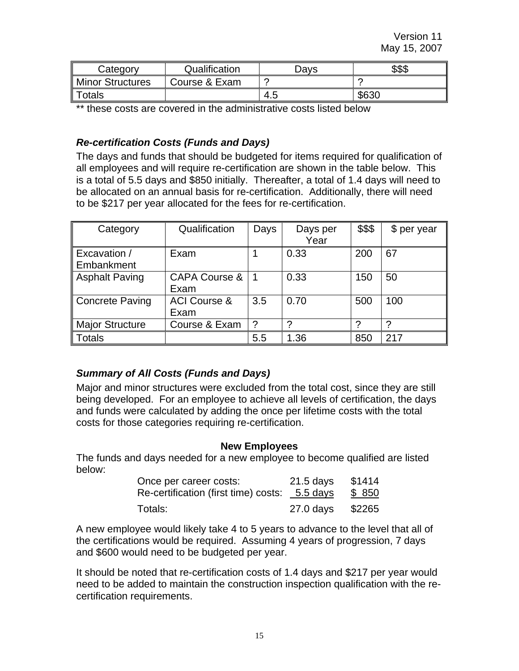<span id="page-14-0"></span>

| Category         | Qualification | Davs  | \$\$\$ |
|------------------|---------------|-------|--------|
| Minor Structures | Course & Exam |       |        |
| otals            |               | . 4.ປ | \$630  |

\*\* these costs are covered in the administrative costs listed below

#### *Re-certification Costs (Funds and Days)*

The days and funds that should be budgeted for items required for qualification of all employees and will require re-certification are shown in the table below. This is a total of 5.5 days and \$850 initially. Thereafter, a total of 1.4 days will need to be allocated on an annual basis for re-certification. Additionally, there will need to be \$217 per year allocated for the fees for re-certification.

| Category                            | Qualification                    | Days | Days per<br>Year | \$\$\$ | \$ per year |
|-------------------------------------|----------------------------------|------|------------------|--------|-------------|
| <b>Excavation /</b><br>∥ Embankment | Exam                             |      | 0.33             | 200    | 67          |
| Asphalt Paving                      | <b>CAPA Course &amp;</b><br>Exam |      | 0.33             | 150    | 50          |
| Concrete Paving                     | <b>ACI Course &amp;</b><br>Exam  | 3.5  | 0.70             | 500    | 100         |
| <b>Major Structure</b>              | Course & Exam                    | 2    | ◠                |        |             |
| Totals                              |                                  | 5.5  | 1.36             | 850    | 217         |

#### *Summary of All Costs (Funds and Days)*

Major and minor structures were excluded from the total cost, since they are still being developed. For an employee to achieve all levels of certification, the days and funds were calculated by adding the once per lifetime costs with the total costs for those categories requiring re-certification.

#### **New Employees**

The funds and days needed for a new employee to become qualified are listed below:

| Once per career costs:                        | 21.5 days | \$1414 |
|-----------------------------------------------|-----------|--------|
| Re-certification (first time) costs: 5.5 days |           | \$ 850 |
| Totals:                                       | 27.0 days | \$2265 |

A new employee would likely take 4 to 5 years to advance to the level that all of the certifications would be required. Assuming 4 years of progression, 7 days and \$600 would need to be budgeted per year.

It should be noted that re-certification costs of 1.4 days and \$217 per year would need to be added to maintain the construction inspection qualification with the recertification requirements.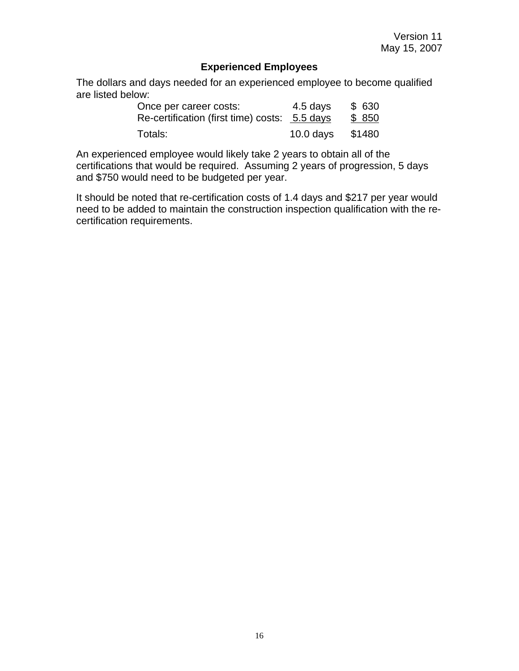#### **Experienced Employees**

The dollars and days needed for an experienced employee to become qualified are listed below:

| Once per career costs:                        | 4.5 days    | \$ 630 |
|-----------------------------------------------|-------------|--------|
| Re-certification (first time) costs: 5.5 days |             | \$850  |
| Totals:                                       | $10.0$ days | \$1480 |

An experienced employee would likely take 2 years to obtain all of the certifications that would be required. Assuming 2 years of progression, 5 days and \$750 would need to be budgeted per year.

It should be noted that re-certification costs of 1.4 days and \$217 per year would need to be added to maintain the construction inspection qualification with the recertification requirements.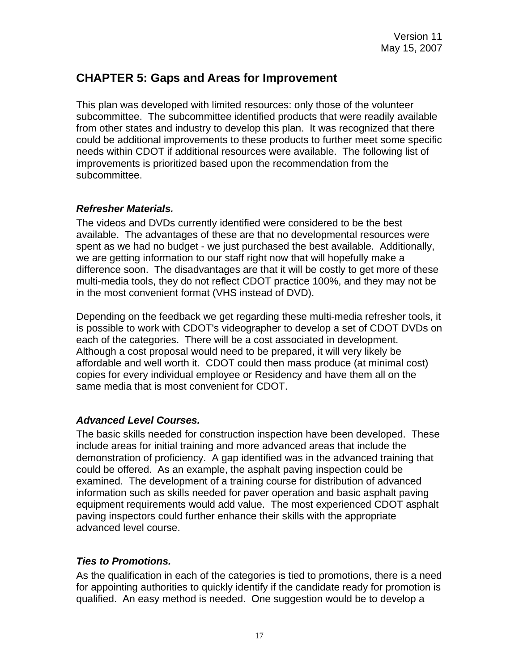# <span id="page-16-0"></span>**CHAPTER 5: Gaps and Areas for Improvement**

This plan was developed with limited resources: only those of the volunteer subcommittee. The subcommittee identified products that were readily available from other states and industry to develop this plan. It was recognized that there could be additional improvements to these products to further meet some specific needs within CDOT if additional resources were available. The following list of improvements is prioritized based upon the recommendation from the subcommittee.

#### *Refresher Materials.*

The videos and DVDs currently identified were considered to be the best available. The advantages of these are that no developmental resources were spent as we had no budget - we just purchased the best available. Additionally, we are getting information to our staff right now that will hopefully make a difference soon. The disadvantages are that it will be costly to get more of these multi-media tools, they do not reflect CDOT practice 100%, and they may not be in the most convenient format (VHS instead of DVD).

Depending on the feedback we get regarding these multi-media refresher tools, it is possible to work with CDOT's videographer to develop a set of CDOT DVDs on each of the categories. There will be a cost associated in development. Although a cost proposal would need to be prepared, it will very likely be affordable and well worth it. CDOT could then mass produce (at minimal cost) copies for every individual employee or Residency and have them all on the same media that is most convenient for CDOT.

#### *Advanced Level Courses.*

The basic skills needed for construction inspection have been developed. These include areas for initial training and more advanced areas that include the demonstration of proficiency. A gap identified was in the advanced training that could be offered. As an example, the asphalt paving inspection could be examined. The development of a training course for distribution of advanced information such as skills needed for paver operation and basic asphalt paving equipment requirements would add value. The most experienced CDOT asphalt paving inspectors could further enhance their skills with the appropriate advanced level course.

#### *Ties to Promotions.*

As the qualification in each of the categories is tied to promotions, there is a need for appointing authorities to quickly identify if the candidate ready for promotion is qualified. An easy method is needed. One suggestion would be to develop a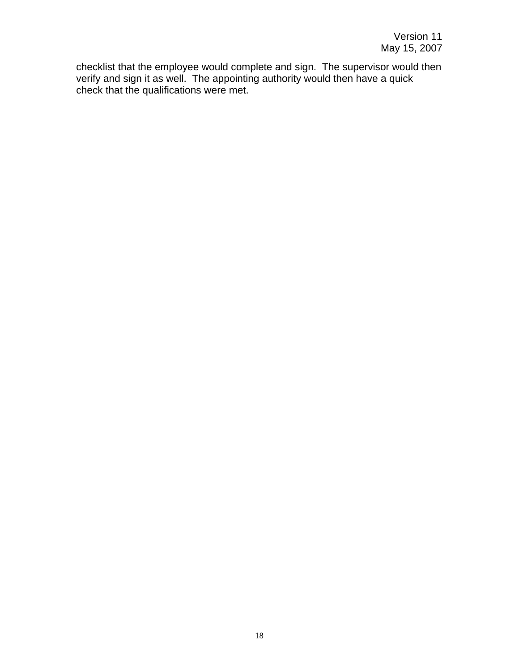checklist that the employee would complete and sign. The supervisor would then verify and sign it as well. The appointing authority would then have a quick check that the qualifications were met.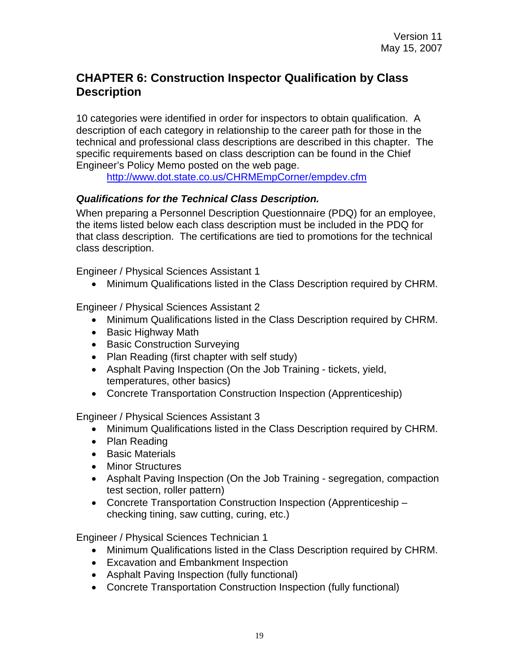# <span id="page-18-0"></span>**CHAPTER 6: Construction Inspector Qualification by Class Description**

10 categories were identified in order for inspectors to obtain qualification. A description of each category in relationship to the career path for those in the technical and professional class descriptions are described in this chapter. The specific requirements based on class description can be found in the Chief Engineer's Policy Memo posted on the web page.

<http://www.dot.state.co.us/CHRMEmpCorner/empdev.cfm>

#### *Qualifications for the Technical Class Description.*

When preparing a Personnel Description Questionnaire (PDQ) for an employee, the items listed below each class description must be included in the PDQ for that class description. The certifications are tied to promotions for the technical class description.

Engineer / Physical Sciences Assistant 1

• Minimum Qualifications listed in the Class Description required by CHRM.

Engineer / Physical Sciences Assistant 2

- Minimum Qualifications listed in the Class Description required by CHRM.
- Basic Highway Math
- Basic Construction Surveying
- Plan Reading (first chapter with self study)
- Asphalt Paving Inspection (On the Job Training tickets, yield, temperatures, other basics)
- Concrete Transportation Construction Inspection (Apprenticeship)

Engineer / Physical Sciences Assistant 3

- Minimum Qualifications listed in the Class Description required by CHRM.
- Plan Reading
- Basic Materials
- Minor Structures
- Asphalt Paving Inspection (On the Job Training segregation, compaction test section, roller pattern)
- Concrete Transportation Construction Inspection (Apprenticeship checking tining, saw cutting, curing, etc.)

Engineer / Physical Sciences Technician 1

- Minimum Qualifications listed in the Class Description required by CHRM.
- Excavation and Embankment Inspection
- Asphalt Paving Inspection (fully functional)
- Concrete Transportation Construction Inspection (fully functional)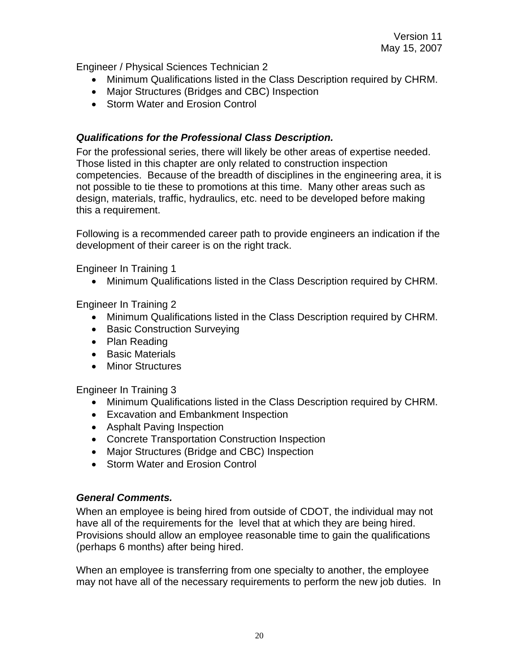<span id="page-19-0"></span>Engineer / Physical Sciences Technician 2

- Minimum Qualifications listed in the Class Description required by CHRM.
- Major Structures (Bridges and CBC) Inspection
- Storm Water and Frosion Control

#### *Qualifications for the Professional Class Description.*

For the professional series, there will likely be other areas of expertise needed. Those listed in this chapter are only related to construction inspection competencies. Because of the breadth of disciplines in the engineering area, it is not possible to tie these to promotions at this time. Many other areas such as design, materials, traffic, hydraulics, etc. need to be developed before making this a requirement.

Following is a recommended career path to provide engineers an indication if the development of their career is on the right track.

Engineer In Training 1

• Minimum Qualifications listed in the Class Description required by CHRM.

Engineer In Training 2

- Minimum Qualifications listed in the Class Description required by CHRM.
- Basic Construction Surveying
- Plan Reading
- Basic Materials
- Minor Structures

Engineer In Training 3

- Minimum Qualifications listed in the Class Description required by CHRM.
- Excavation and Embankment Inspection
- Asphalt Paving Inspection
- Concrete Transportation Construction Inspection
- Major Structures (Bridge and CBC) Inspection
- Storm Water and Erosion Control

#### *General Comments.*

When an employee is being hired from outside of CDOT, the individual may not have all of the requirements for the level that at which they are being hired. Provisions should allow an employee reasonable time to gain the qualifications (perhaps 6 months) after being hired.

When an employee is transferring from one specialty to another, the employee may not have all of the necessary requirements to perform the new job duties. In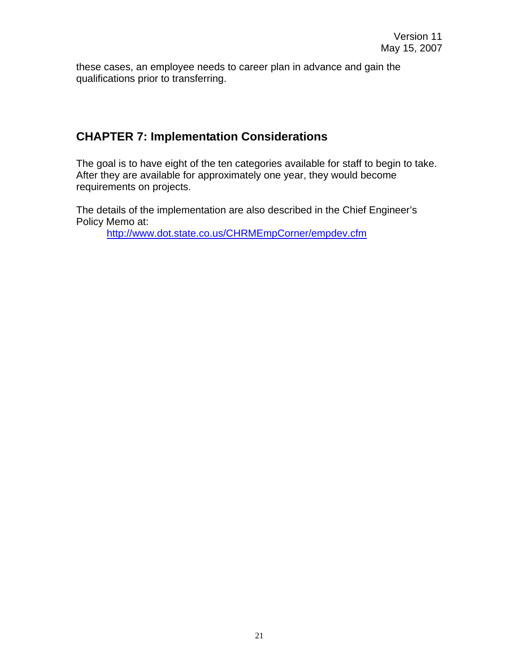<span id="page-20-0"></span>these cases, an employee needs to career plan in advance and gain the qualifications prior to transferring.

# **CHAPTER 7: Implementation Considerations**

The goal is to have eight of the ten categories available for staff to begin to take. After they are available for approximately one year, they would become requirements on projects.

The details of the implementation are also described in the Chief Engineer's Policy Memo at:

<http://www.dot.state.co.us/CHRMEmpCorner/empdev.cfm>